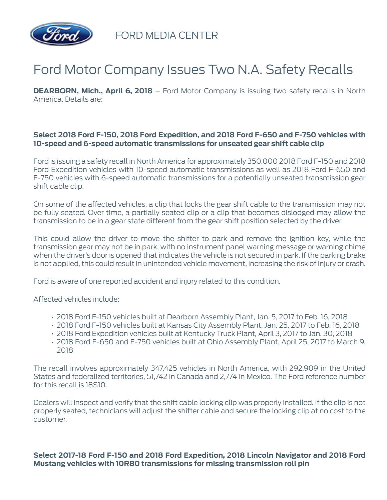

FORD MEDIA CENTER

## Ford Motor Company Issues Two N.A. Safety Recalls

**DEARBORN, Mich., April 6, 2018** – Ford Motor Company is issuing two safety recalls in North America. Details are:

## **Select 2018 Ford F-150, 2018 Ford Expedition, and 2018 Ford F-650 and F-750 vehicles with 10-speed and 6-speed automatic transmissions for unseated gear shift cable clip**

Ford is issuing a safety recall in North America for approximately 350,000 2018 Ford F-150 and 2018 Ford Expedition vehicles with 10-speed automatic transmissions as well as 2018 Ford F-650 and F-750 vehicles with 6-speed automatic transmissions for a potentially unseated transmission gear shift cable clip.

On some of the affected vehicles, a clip that locks the gear shift cable to the transmission may not be fully seated. Over time, a partially seated clip or a clip that becomes dislodged may allow the transmission to be in a gear state different from the gear shift position selected by the driver.

This could allow the driver to move the shifter to park and remove the ignition key, while the transmission gear may not be in park, with no instrument panel warning message or warning chime when the driver's door is opened that indicates the vehicle is not secured in park. If the parking brake is not applied, this could result in unintended vehicle movement, increasing the risk of injury or crash.

Ford is aware of one reported accident and injury related to this condition.

Affected vehicles include:

- 2018 Ford F-150 vehicles built at Dearborn Assembly Plant, Jan. 5, 2017 to Feb. 16, 2018
- 2018 Ford F-150 vehicles built at Kansas City Assembly Plant, Jan. 25, 2017 to Feb. 16, 2018
- 2018 Ford Expedition vehicles built at Kentucky Truck Plant, April 3, 2017 to Jan. 30, 2018
- 2018 Ford F-650 and F-750 vehicles built at Ohio Assembly Plant, April 25, 2017 to March 9, 2018

The recall involves approximately 347,425 vehicles in North America, with 292,909 in the United States and federalized territories, 51,742 in Canada and 2,774 in Mexico. The Ford reference number for this recall is 18S10.

Dealers will inspect and verify that the shift cable locking clip was properly installed. If the clip is not properly seated, technicians will adjust the shifter cable and secure the locking clip at no cost to the customer.

**Select 2017-18 Ford F-150 and 2018 Ford Expedition, 2018 Lincoln Navigator and 2018 Ford Mustang vehicles with 10R80 transmissions for missing transmission roll pin**